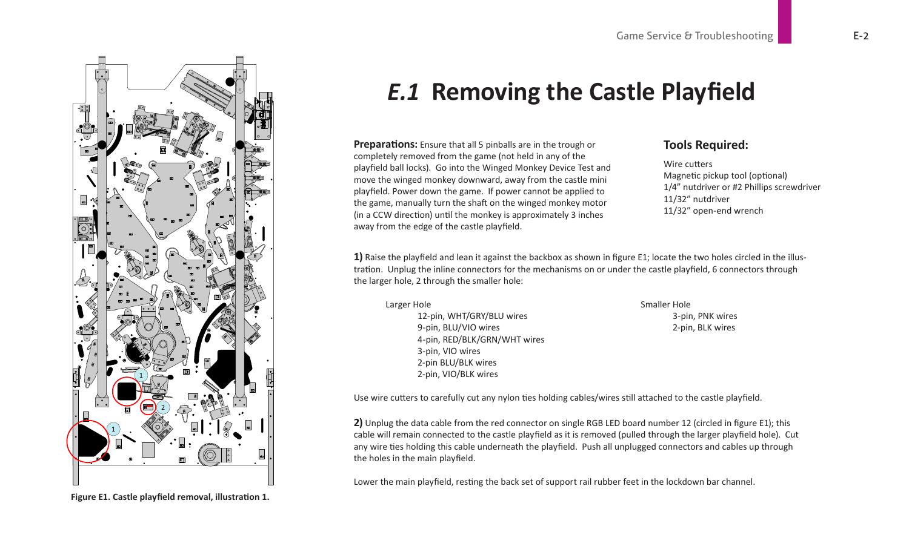

**Figure E1. Castle playfield removal, illustration 1.**

## *E.1* **Removing the Castle Playfield**

**Preparations:** Ensure that all 5 pinballs are in the trough or completely removed from the game (not held in any of the playfield ball locks). Go into the Winged Monkey Device Test and move the winged monkey downward, away from the castle mini playfield. Power down the game. If power cannot be applied to the game, manually turn the shaft on the winged monkey motor (in a CCW direction) until the monkey is approximately 3 inches away from the edge of the castle playfield.

## **Tools Required:**

Wire cutters Magnetic pickup tool (optional) 1/4" nutdriver or #2 Phillips screwdriver 11/32" nutdriver 11/32" open-end wrench

**1)** Raise the playfield and lean it against the backbox as shown in figure E1; locate the two holes circled in the illustration. Unplug the inline connectors for the mechanisms on or under the castle playfield, 6 connectors through the larger hole, 2 through the smaller hole:

12-pin, WHT/GRY/BLU wires 3-pin, PNK wires 9-pin, BLU/VIO wires 2-pin, BLK wires 4-pin, RED/BLK/GRN/WHT wires 3-pin, VIO wires 2-pin BLU/BLK wires 2-pin, VIO/BLK wires

Larger Hole Smaller Hole

Use wire cutters to carefully cut any nylon ties holding cables/wires still attached to the castle playfield.

**2)** Unplug the data cable from the red connector on single RGB LED board number 12 (circled in figure E1); this cable will remain connected to the castle playfield as it is removed (pulled through the larger playfield hole). Cut any wire ties holding this cable underneath the playfield. Push all unplugged connectors and cables up through the holes in the main playfield.

Lower the main playfield, resting the back set of support rail rubber feet in the lockdown bar channel.